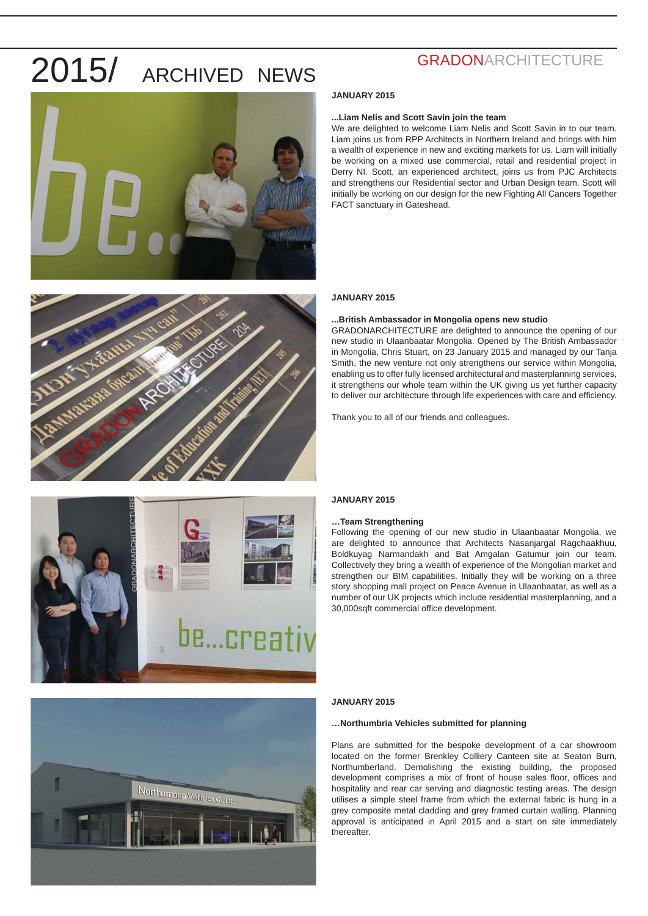



### **GRADONARCHITECTURE**

### **JANUARY 2015**

### **...Liam Nelis and Scott Savin join the team**

We are delighted to welcome Liam Nelis and Scott Savin in to our team. Liam joins us from RPP Architects in Northern Ireland and brings with him a wealth of experience in new and exciting markets for us. Liam will initially be working on a mixed use commercial, retail and residential project in Derry NI. Scott, an experienced architect, joins us from PJC Architects and strengthens our Residential sector and Urban Design team. Scott will initially be working on our design for the new Fighting All Cancers Together FACT sanctuary in Gateshead.

### **JANUARY 2015**

### **...British Ambassador in Mongolia opens new studio**

GRADONARCHITECTURE are delighted to announce the opening of our new studio in Ulaanbaatar Mongolia. Opened by The British Ambassador in Mongolia, Chris Stuart, on 23 January 2015 and managed by our Tanja Smith, the new venture not only strengthens our service within Mongolia, enabling us to offer fully licensed architectural and masterplanning services, it strengthens our whole team within the UK giving us yet further capacity to deliver our architecture through life experiences with care and efficiency.

Thank you to all of our friends and colleagues.



### **JANUARY 2015**

### **…Team Strengthening**

Following the opening of our new studio in Ulaanbaatar Mongolia, we are delighted to announce that Architects Nasanjargal Ragchaakhuu, Boldkuyag Narmandakh and Bat Amgalan Gatumur join our team. Collectively they bring a wealth of experience of the Mongolian market and strengthen our BIM capabilities. Initially they will be working on a three story shopping mall project on Peace Avenue in Ulaanbaatar, as well as a number of our UK projects which include residential masterplanning, and a 30,000sqft commercial office development.



### **JANUARY 2015**

### **…Northumbria Vehicles submitted for planning**

Plans are submitted for the bespoke development of a car showroom located on the former Brenkley Colliery Canteen site at Seaton Burn, Northumberland. Demolishing the existing building, the proposed development comprises a mix of front of house sales floor, offices and hospitality and rear car serving and diagnostic testing areas. The design utilises a simple steel frame from which the external fabric is hung in a grey composite metal cladding and grey framed curtain walling. Planning approval is anticipated in April 2015 and a start on site immediately thereafter.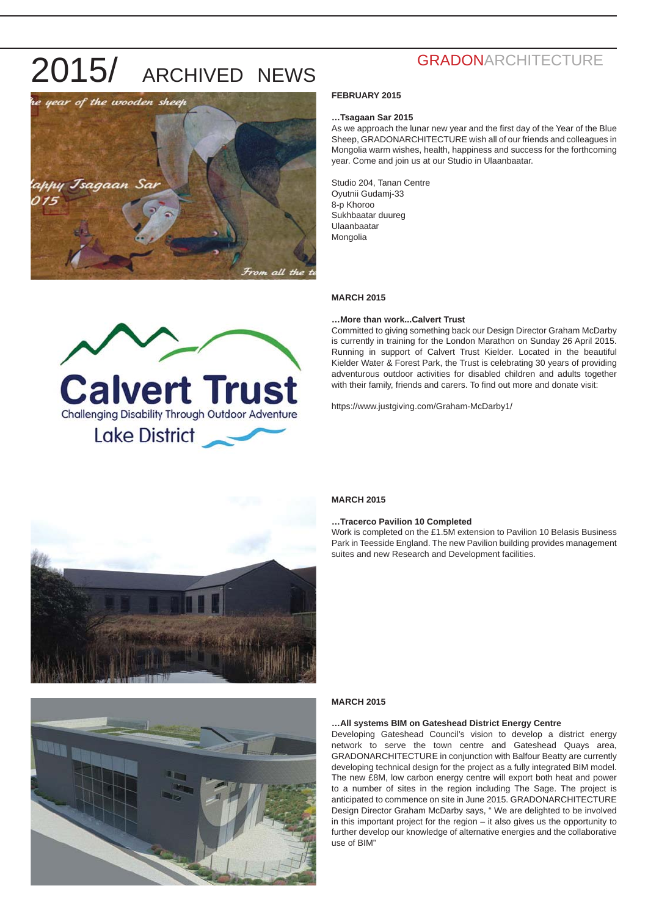

### **GRADONARCHITECTURE**

### **FEBRUARY 2015**

### **…Tsagaan Sar 2015**

As we approach the lunar new year and the first day of the Year of the Blue Sheep, GRADONARCHITECTURE wish all of our friends and colleagues in Mongolia warm wishes, health, happiness and success for the forthcoming year. Come and join us at our Studio in Ulaanbaatar.

Studio 204, Tanan Centre Oyutnii Gudamj-33 8-p Khoroo Sukhbaatar duureg Ulaanbaatar Mongolia

### **MARCH 2015**

#### **…More than work...Calvert Trust**

Committed to giving something back our Design Director Graham McDarby is currently in training for the London Marathon on Sunday 26 April 2015. Running in support of Calvert Trust Kielder. Located in the beautiful Kielder Water & Forest Park, the Trust is celebrating 30 years of providing adventurous outdoor activities for disabled children and adults together with their family, friends and carers. To find out more and donate visit:

https://www.justgiving.com/Graham-McDarby1/



Calvert Trust

Lake District

### **MARCH 2015**

#### **…Tracerco Pavilion 10 Completed**

Work is completed on the £1.5M extension to Pavilion 10 Belasis Business Park in Teesside England. The new Pavilion building provides management suites and new Research and Development facilities.



#### **MARCH 2015**

### **…All systems BIM on Gateshead District Energy Centre**

Developing Gateshead Council's vision to develop a district energy network to serve the town centre and Gateshead Quays area, GRADONARCHITECTURE in conjunction with Balfour Beatty are currently developing technical design for the project as a fully integrated BIM model. The new £8M, low carbon energy centre will export both heat and power to a number of sites in the region including The Sage. The project is anticipated to commence on site in June 2015. GRADONARCHITECTURE Design Director Graham McDarby says, " We are delighted to be involved in this important project for the region – it also gives us the opportunity to further develop our knowledge of alternative energies and the collaborative use of BIM"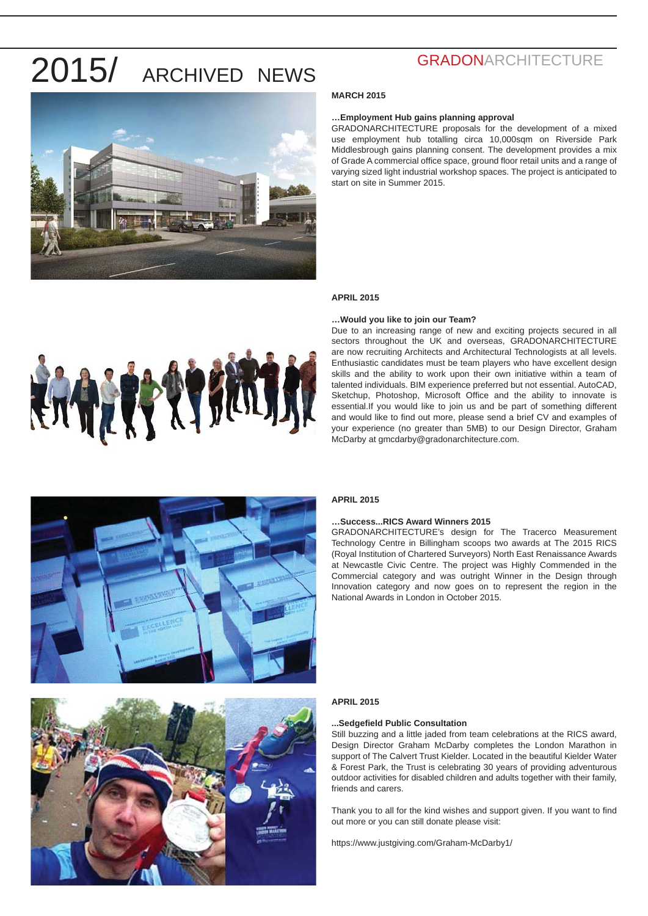

### **GRADONARCHITECTURE**

### **MARCH 2015**

### **…Employment Hub gains planning approval**

GRADONARCHITECTURE proposals for the development of a mixed use employment hub totalling circa 10,000sqm on Riverside Park Middlesbrough gains planning consent. The development provides a mix of Grade A commercial office space, ground floor retail units and a range of varying sized light industrial workshop spaces. The project is anticipated to start on site in Summer 2015.

### **APRIL 2015**

#### **…Would you like to join our Team?**

Due to an increasing range of new and exciting projects secured in all sectors throughout the UK and overseas, GRADONARCHITECTURE are now recruiting Architects and Architectural Technologists at all levels. Enthusiastic candidates must be team players who have excellent design skills and the ability to work upon their own initiative within a team of talented individuals. BIM experience preferred but not essential. AutoCAD, Sketchup, Photoshop, Microsoft Office and the ability to innovate is essential.If you would like to join us and be part of something different and would like to find out more, please send a brief CV and examples of your experience (no greater than 5MB) to our Design Director, Graham McDarby at gmcdarby@gradonarchitecture.com.



### **APRIL 2015**

### **…Success...RICS Award Winners 2015**

GRADONARCHITECTURE's design for The Tracerco Measurement Technology Centre in Billingham scoops two awards at The 2015 RICS (Royal Institution of Chartered Surveyors) North East Renaissance Awards at Newcastle Civic Centre. The project was Highly Commended in the Commercial category and was outright Winner in the Design through Innovation category and now goes on to represent the region in the National Awards in London in October 2015.



### **APRIL 2015**

### **...Sedgefi eld Public Consultation**

Still buzzing and a little jaded from team celebrations at the RICS award, Design Director Graham McDarby completes the London Marathon in support of The Calvert Trust Kielder. Located in the beautiful Kielder Water & Forest Park, the Trust is celebrating 30 years of providing adventurous outdoor activities for disabled children and adults together with their family, friends and carers.

Thank you to all for the kind wishes and support given. If you want to find out more or you can still donate please visit:

https://www.justgiving.com/Graham-McDarby1/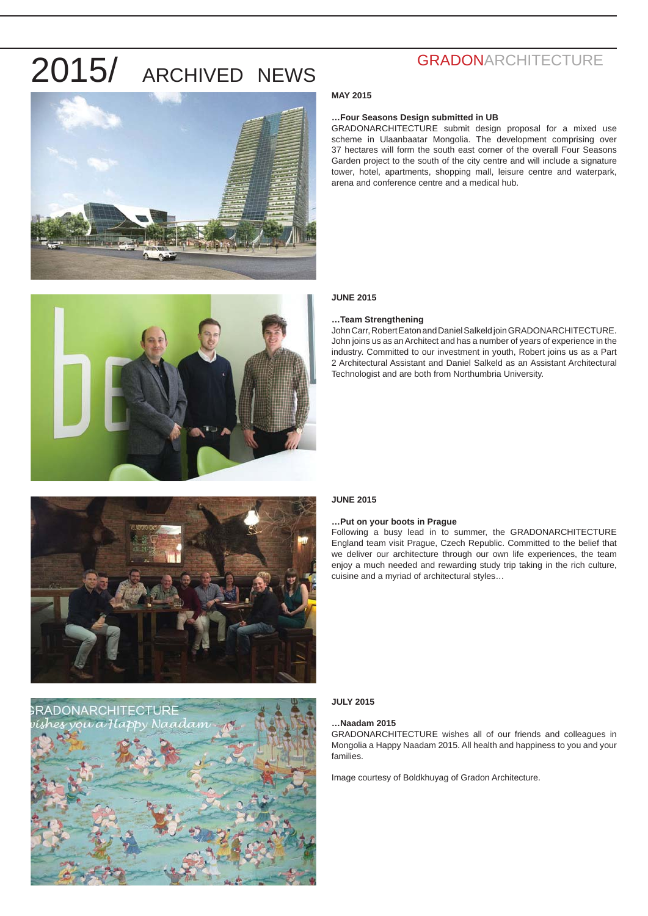



## **GRADONARCHITECTURE**

### **MAY 2015**

### **…Four Seasons Design submitted in UB**

GRADONARCHITECTURE submit design proposal for a mixed use scheme in Ulaanbaatar Mongolia. The development comprising over 37 hectares will form the south east corner of the overall Four Seasons Garden project to the south of the city centre and will include a signature tower, hotel, apartments, shopping mall, leisure centre and waterpark, arena and conference centre and a medical hub.

### **JUNE 2015**

### **…Team Strengthening**

John Carr, Robert Eaton and Daniel Salkeld join GRADONARCHITECTURE. John joins us as an Architect and has a number of years of experience in the industry. Committed to our investment in youth, Robert joins us as a Part 2 Architectural Assistant and Daniel Salkeld as an Assistant Architectural Technologist and are both from Northumbria University.



### **JUNE 2015**

### **…Put on your boots in Prague**

Following a busy lead in to summer, the GRADONARCHITECTURE England team visit Prague, Czech Republic. Committed to the belief that we deliver our architecture through our own life experiences, the team enjoy a much needed and rewarding study trip taking in the rich culture, cuisine and a myriad of architectural styles…

### **JULY 2015**

### **…Naadam 2015**

GRADONARCHITECTURE wishes all of our friends and colleagues in Mongolia a Happy Naadam 2015. All health and happiness to you and your families.

Image courtesy of Boldkhuyag of Gradon Architecture.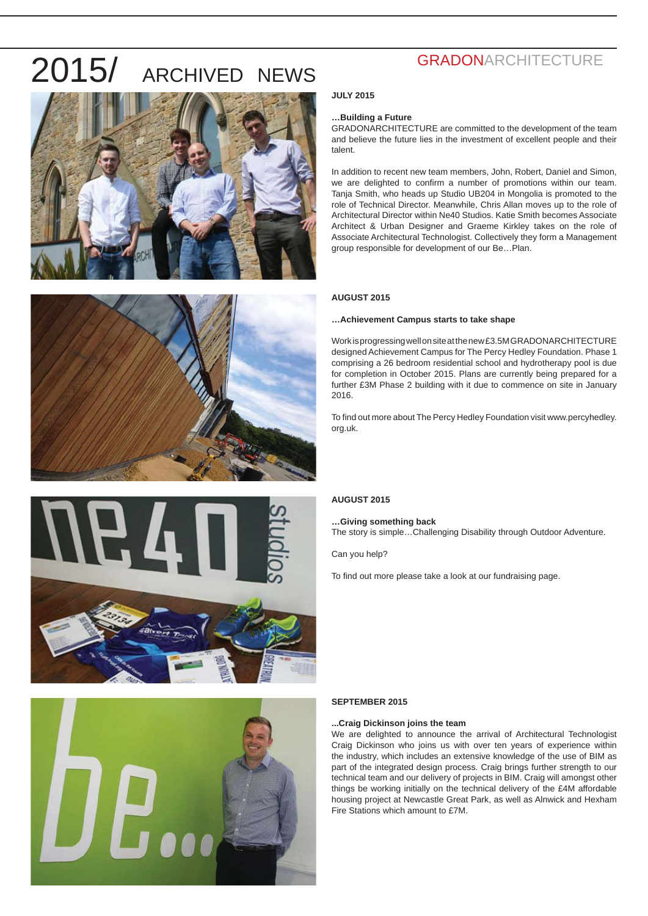







### **GRADONARCHITECTURE**

### **JULY 2015**

### **…Building a Future**

GRADONARCHITECTURE are committed to the development of the team and believe the future lies in the investment of excellent people and their talent.

In addition to recent new team members, John, Robert, Daniel and Simon, we are delighted to confirm a number of promotions within our team. Tanja Smith, who heads up Studio UB204 in Mongolia is promoted to the role of Technical Director. Meanwhile, Chris Allan moves up to the role of Architectural Director within Ne40 Studios. Katie Smith becomes Associate Architect & Urban Designer and Graeme Kirkley takes on the role of Associate Architectural Technologist. Collectively they form a Management group responsible for development of our Be…Plan.

### **AUGUST 2015**

### **…Achievement Campus starts to take shape**

Work is progressing well on site at the new £3.5M GRADONARCHITECTURE designed Achievement Campus for The Percy Hedley Foundation. Phase 1 comprising a 26 bedroom residential school and hydrotherapy pool is due for completion in October 2015. Plans are currently being prepared for a further £3M Phase 2 building with it due to commence on site in January 2016.

To find out more about The Percy Hedley Foundation visit www.percyhedley. org.uk.

### **AUGUST 2015**

### **…Giving something back**

The story is simple…Challenging Disability through Outdoor Adventure.

Can you help?

To find out more please take a look at our fundraising page.

### **SEPTEMBER 2015**

### **...Craig Dickinson joins the team**

We are delighted to announce the arrival of Architectural Technologist Craig Dickinson who joins us with over ten years of experience within the industry, which includes an extensive knowledge of the use of BIM as part of the integrated design process. Craig brings further strength to our technical team and our delivery of projects in BIM. Craig will amongst other things be working initially on the technical delivery of the £4M affordable housing project at Newcastle Great Park, as well as Alnwick and Hexham Fire Stations which amount to £7M.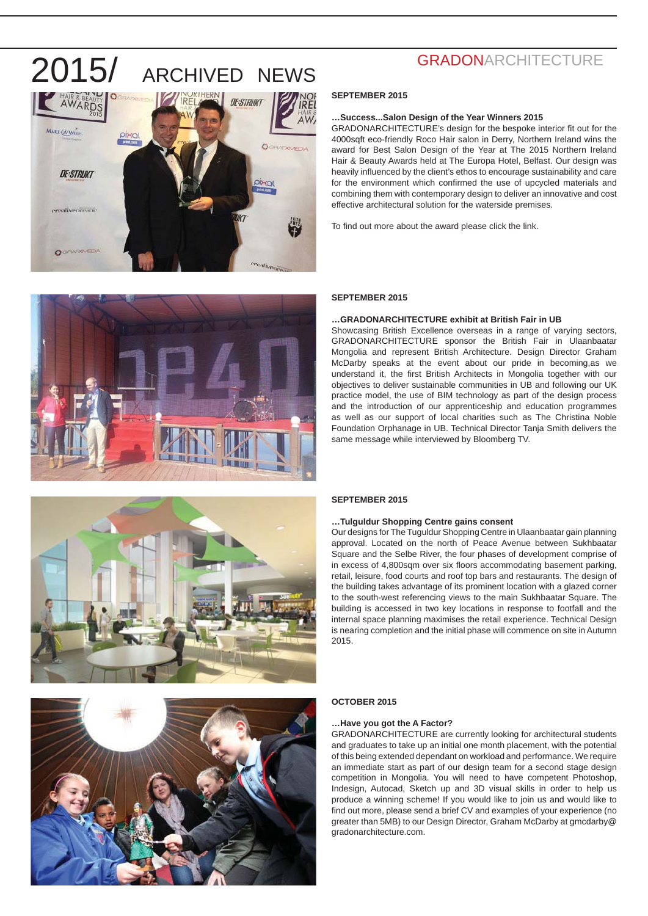







### **GRADONARCHITECTURE**

### **SEPTEMBER 2015**

### **…Success...Salon Design of the Year Winners 2015**

GRADONARCHITECTURE's design for the bespoke interior fit out for the 4000sqft eco-friendly Roco Hair salon in Derry, Northern Ireland wins the award for Best Salon Design of the Year at The 2015 Northern Ireland Hair & Beauty Awards held at The Europa Hotel, Belfast. Our design was heavily influenced by the client's ethos to encourage sustainability and care for the environment which confirmed the use of upcycled materials and combining them with contemporary design to deliver an innovative and cost effective architectural solution for the waterside premises.

To find out more about the award please click the link.

#### **SEPTEMBER 2015**

### **…GRADONARCHITECTURE exhibit at British Fair in UB**

Showcasing British Excellence overseas in a range of varying sectors, GRADONARCHITECTURE sponsor the British Fair in Ulaanbaatar Mongolia and represent British Architecture. Design Director Graham McDarby speaks at the event about our pride in becoming,as we understand it, the first British Architects in Mongolia together with our objectives to deliver sustainable communities in UB and following our UK practice model, the use of BIM technology as part of the design process and the introduction of our apprenticeship and education programmes as well as our support of local charities such as The Christina Noble Foundation Orphanage in UB. Technical Director Tanja Smith delivers the same message while interviewed by Bloomberg TV.

### **SEPTEMBER 2015**

### **…Tulguldur Shopping Centre gains consent**

Our designs for The Tuguldur Shopping Centre in Ulaanbaatar gain planning approval. Located on the north of Peace Avenue between Sukhbaatar Square and the Selbe River, the four phases of development comprise of in excess of 4,800sqm over six floors accommodating basement parking, retail, leisure, food courts and roof top bars and restaurants. The design of the building takes advantage of its prominent location with a glazed corner to the south-west referencing views to the main Sukhbaatar Square. The building is accessed in two key locations in response to footfall and the internal space planning maximises the retail experience. Technical Design is nearing completion and the initial phase will commence on site in Autumn 2015.

#### **OCTOBER 2015**

### **…Have you got the A Factor?**

GRADONARCHITECTURE are currently looking for architectural students and graduates to take up an initial one month placement, with the potential of this being extended dependant on workload and performance. We require an immediate start as part of our design team for a second stage design competition in Mongolia. You will need to have competent Photoshop, Indesign, Autocad, Sketch up and 3D visual skills in order to help us produce a winning scheme! If you would like to join us and would like to find out more, please send a brief CV and examples of your experience (no greater than 5MB) to our Design Director, Graham McDarby at gmcdarby@ gradonarchitecture.com.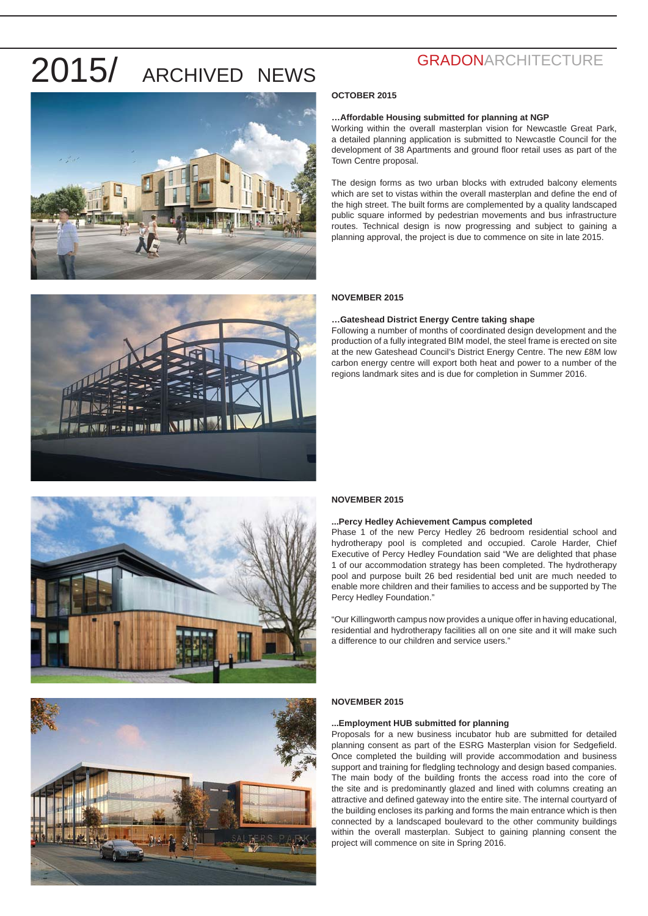







### **GRADONARCHITECTURE**

### **OCTOBER 2015**

### **…Affordable Housing submitted for planning at NGP**

Working within the overall masterplan vision for Newcastle Great Park, a detailed planning application is submitted to Newcastle Council for the development of 38 Apartments and ground floor retail uses as part of the Town Centre proposal.

The design forms as two urban blocks with extruded balcony elements which are set to vistas within the overall masterplan and define the end of the high street. The built forms are complemented by a quality landscaped public square informed by pedestrian movements and bus infrastructure routes. Technical design is now progressing and subject to gaining a planning approval, the project is due to commence on site in late 2015.

### **NOVEMBER 2015**

### **…Gateshead District Energy Centre taking shape**

Following a number of months of coordinated design development and the production of a fully integrated BIM model, the steel frame is erected on site at the new Gateshead Council's District Energy Centre. The new £8M low carbon energy centre will export both heat and power to a number of the regions landmark sites and is due for completion in Summer 2016.

### **NOVEMBER 2015**

#### **...Percy Hedley Achievement Campus completed**

Phase 1 of the new Percy Hedley 26 bedroom residential school and hydrotherapy pool is completed and occupied. Carole Harder, Chief Executive of Percy Hedley Foundation said "We are delighted that phase 1 of our accommodation strategy has been completed. The hydrotherapy pool and purpose built 26 bed residential bed unit are much needed to enable more children and their families to access and be supported by The Percy Hedley Foundation."

"Our Killingworth campus now provides a unique offer in having educational, residential and hydrotherapy facilities all on one site and it will make such a difference to our children and service users."

### **NOVEMBER 2015**

### **...Employment HUB submitted for planning**

Proposals for a new business incubator hub are submitted for detailed planning consent as part of the ESRG Masterplan vision for Sedgefield. Once completed the building will provide accommodation and business support and training for fledgling technology and design based companies. The main body of the building fronts the access road into the core of the site and is predominantly glazed and lined with columns creating an attractive and defined gateway into the entire site. The internal courtyard of the building encloses its parking and forms the main entrance which is then connected by a landscaped boulevard to the other community buildings within the overall masterplan. Subject to gaining planning consent the project will commence on site in Spring 2016.